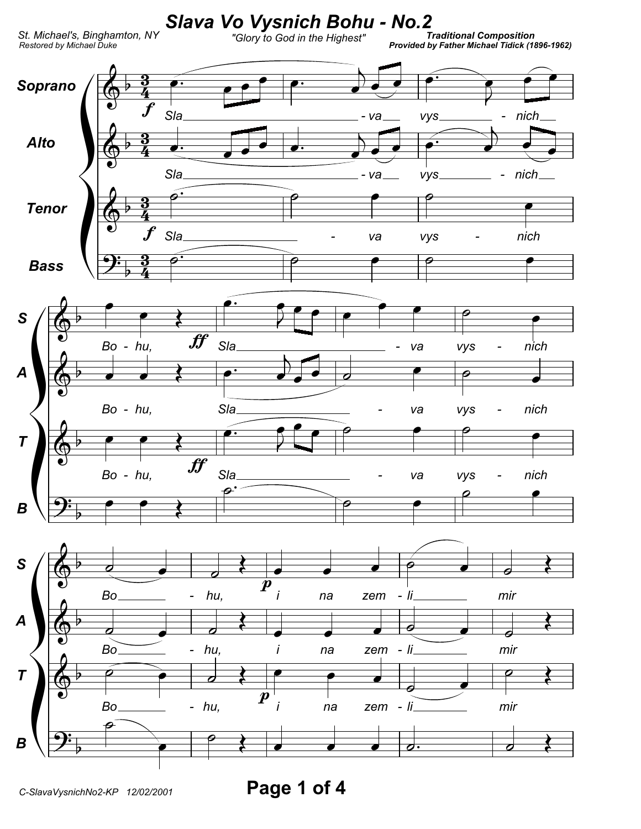

Page 1 of 4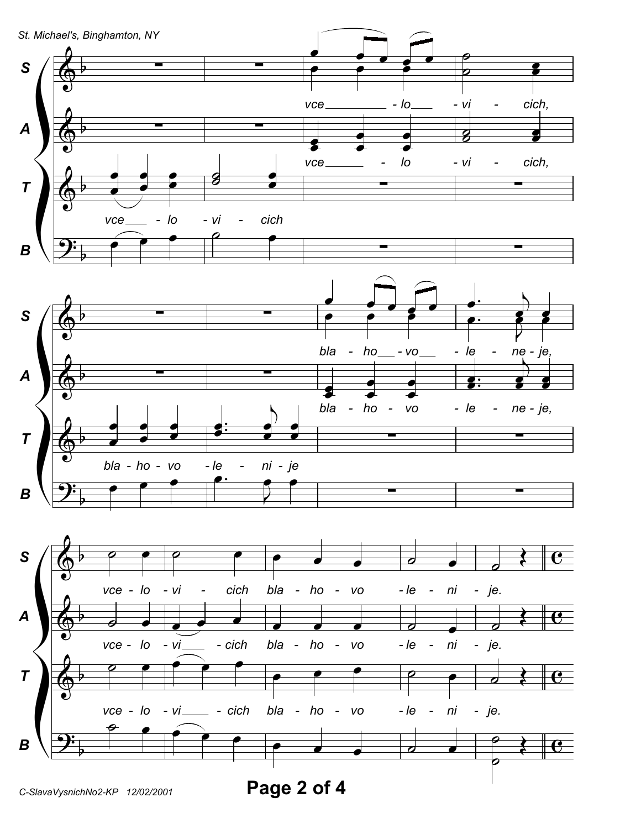

C-SlavaVysnichNo2-KP 12/02/2001

Page 2 of 4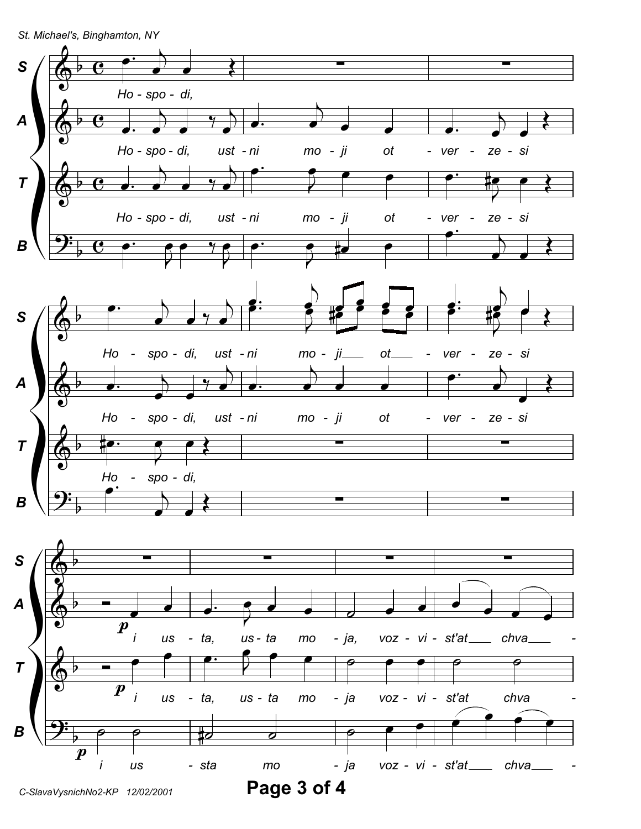St. Michael's, Binghamton, NY